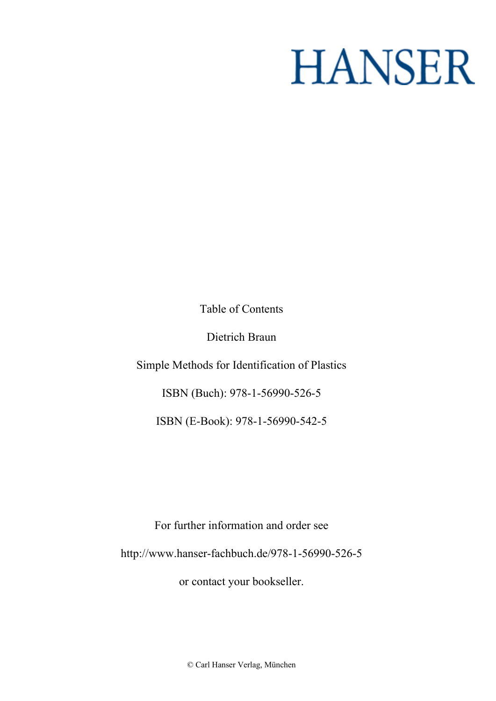## **HANSER**

**Table of Contents**

**Dietrich Braun**

**Simple Methods for Identification of Plastics**

**ISBN (Buch): 978-1-56990-526-5**

**ISBN (E-Book): 978-1-56990-542-5**

**For further information and order see <http://www.hanser-fachbuch.de/978-1-56990-526-5>**

**or contact your bookseller.**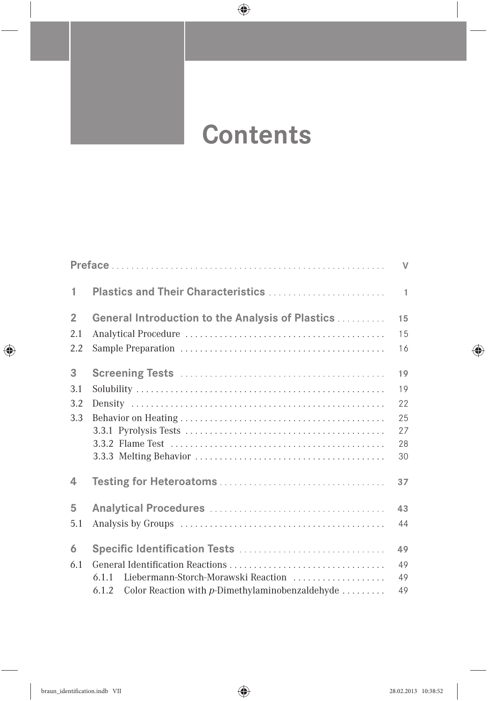## **Contents**

|                |                                                             | $\vee$       |
|----------------|-------------------------------------------------------------|--------------|
| 1              | Plastics and Their Characteristics                          | $\mathbf{1}$ |
| $\overline{2}$ | <b>General Introduction to the Analysis of Plastics </b>    | 15           |
| 2.1            |                                                             | 15           |
| 2.2            |                                                             | 16           |
| 3              |                                                             | 19           |
| 3.1            |                                                             | 19           |
| 3.2            |                                                             | 22           |
| 3.3            |                                                             | 25           |
|                |                                                             | 27           |
|                |                                                             | 28           |
|                |                                                             | 30           |
| 4              |                                                             | 37           |
| 5              |                                                             | 43           |
| 5.1            |                                                             | 44           |
| 6              |                                                             | 49           |
| 6.1            |                                                             | 49           |
|                | Liebermann-Storch-Morawski Reaction<br>611                  | 49           |
|                | Color Reaction with $p$ -Dimethylaminobenzaldehyde<br>6.1.2 | 49           |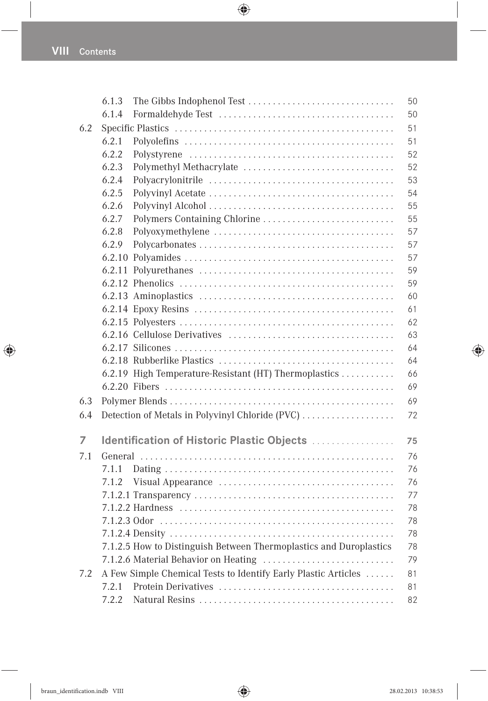|     | 6.1.3 | The Gibbs Indophenol Test                                          | 50 |
|-----|-------|--------------------------------------------------------------------|----|
|     | 6.1.4 |                                                                    | 50 |
| 6.2 |       |                                                                    | 51 |
|     | 6.2.1 |                                                                    | 51 |
|     | 6.2.2 |                                                                    | 52 |
|     | 6.2.3 | Polymethyl Methacrylate                                            | 52 |
|     | 6.2.4 |                                                                    | 53 |
|     | 6.2.5 |                                                                    | 54 |
|     | 6.2.6 |                                                                    | 55 |
|     | 6.2.7 | Polymers Containing Chlorine                                       | 55 |
|     | 6.2.8 |                                                                    | 57 |
|     | 6.2.9 |                                                                    | 57 |
|     |       |                                                                    | 57 |
|     |       |                                                                    | 59 |
|     |       |                                                                    | 59 |
|     |       |                                                                    | 60 |
|     |       |                                                                    | 61 |
|     |       |                                                                    | 62 |
|     |       |                                                                    | 63 |
|     |       |                                                                    | 64 |
|     |       |                                                                    | 64 |
|     |       | 6.2.19 High Temperature-Resistant (HT) Thermoplastics              | 66 |
|     |       |                                                                    | 69 |
| 6.3 |       |                                                                    | 69 |
| 6.4 |       | Detection of Metals in Polyvinyl Chloride (PVC)                    | 72 |
|     |       |                                                                    |    |
| 7   |       | Identification of Historic Plastic Objects                         | 75 |
| 7.1 |       |                                                                    | 76 |
|     | 7.1.1 |                                                                    | 76 |
|     | 7.1.2 |                                                                    | 76 |
|     |       |                                                                    | 77 |
|     |       |                                                                    | 78 |
|     |       |                                                                    | 78 |
|     |       |                                                                    | 78 |
|     |       | 7.1.2.5 How to Distinguish Between Thermoplastics and Duroplastics | 78 |
|     |       |                                                                    | 79 |
| 7.2 |       | A Few Simple Chemical Tests to Identify Early Plastic Articles     | 81 |
|     | 7.2.1 |                                                                    | 81 |
|     | 7.2.2 |                                                                    | 82 |